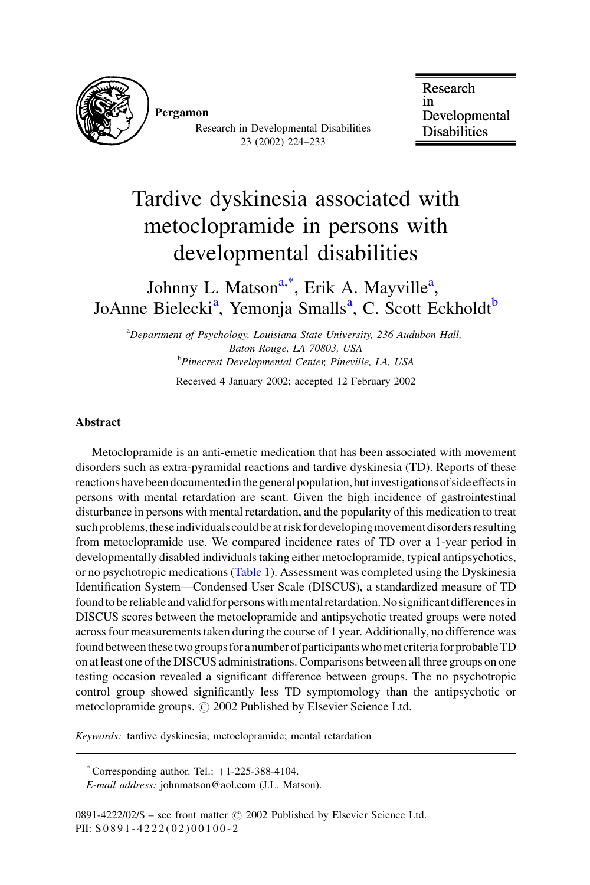

Pergamon

Research in Developmental Disabilities 23 (2002) 224-233

Research in Developmental **Disabilities** 

# Tardive dyskinesia associated with metoclopramide in persons with developmental disabilities

### Johnny L. Matson<sup>a,\*</sup>, Erik A. Mayville<sup>a</sup>, JoAnne Bielecki<sup>a</sup>, Yemonia Smalls<sup>a</sup>, C. Scott Eckholdt<sup>b</sup>

<sup>a</sup>Department of Psychology, Louisiana State University, 236 Audubon Hall, Baton Rouge, LA 70803, USA <sup>b</sup>Pinecrest Developmental Center, Pineville, LA, USA Received 4 January 2002; accepted 12 February 2002

#### **Abstract**

Metoclopramide is an anti-emetic medication that has been associated with movement disorders such as extra-pyramidal reactions and tardive dyskinesia (TD). Reports of these reactions have been documented in the general population, but investigations of side effects in persons with mental retardation are scant. Given the high incidence of gastrointestinal disturbance in persons with mental retardation, and the popularity of this medication to treat such problems, these individuals could be at risk for developing movement disorders resulting from metoclopramide use. We compared incidence rates of TD over a 1-year period in developmentally disabled individuals taking either metoclopramide, typical antipsychotics, or no psychotropic medications (Table 1). Assessment was completed using the Dyskinesia Identification System—Condensed User Scale (DISCUS), a standardized measure of TD found to be reliable and valid for persons with mental retardation. No significant differences in DISCUS scores between the metoclopramide and antipsychotic treated groups were noted across four measurements taken during the course of 1 year. Additionally, no difference was found between these two groups for a number of participants who met criteria for probable TD on at least one of the DISCUS administrations. Comparisons between all three groups on one testing occasion revealed a significant difference between groups. The no psychotropic control group showed significantly less TD symptomology than the antipsychotic or metoclopramide groups. © 2002 Published by Elsevier Science Ltd.

Keywords: tardive dyskinesia; metoclopramide; mental retardation

<sup>\*</sup> Corresponding author. Tel.:  $+1-225-388-4104$ .

E-mail address: johnmatson@aol.com (J.L. Matson).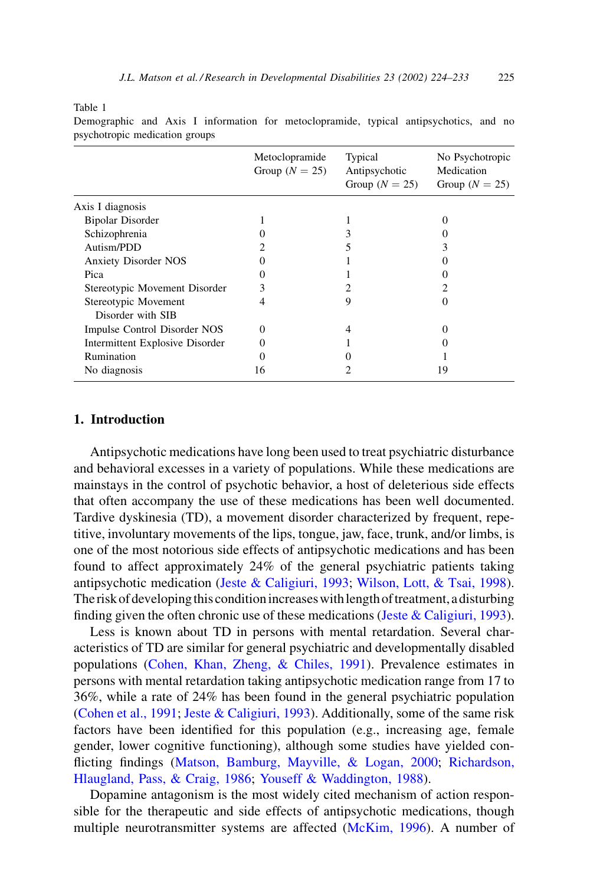<span id="page-1-0"></span>Table 1

|                                           | Metoclopramide<br>Group $(N = 25)$ | Typical<br>Antipsychotic<br>Group $(N = 25)$ | No Psychotropic<br>Medication<br>Group $(N = 25)$ |
|-------------------------------------------|------------------------------------|----------------------------------------------|---------------------------------------------------|
| Axis I diagnosis                          |                                    |                                              |                                                   |
| <b>Bipolar Disorder</b>                   |                                    |                                              |                                                   |
| Schizophrenia                             |                                    |                                              |                                                   |
| Autism/PDD                                |                                    |                                              |                                                   |
| <b>Anxiety Disorder NOS</b>               |                                    |                                              |                                                   |
| Pica                                      |                                    |                                              |                                                   |
| Stereotypic Movement Disorder             |                                    |                                              |                                                   |
| Stereotypic Movement<br>Disorder with SIB |                                    | 9                                            |                                                   |
| Impulse Control Disorder NOS              | 0                                  |                                              |                                                   |
| Intermittent Explosive Disorder           |                                    |                                              |                                                   |
| Rumination                                |                                    |                                              |                                                   |
| No diagnosis                              | 16                                 |                                              | 19                                                |

Demographic and Axis I information for metoclopramide, typical antipsychotics, and no psychotropic medication groups

### 1. Introduction

Antipsychotic medications have long been used to treat psychiatric disturbance and behavioral excesses in a variety of populations. While these medications are mainstays in the control of psychotic behavior, a host of deleterious side effects that often accompany the use of these medications has been well documented. Tardive dyskinesia (TD), a movement disorder characterized by frequent, repetitive, involuntary movements of the lips, tongue, jaw, face, trunk, and/or limbs, is one of the most notorious side effects of antipsychotic medications and has been found to affect approximately 24% of the general psychiatric patients taking antipsychotic medication (Jeste & Caligiuri, 1993; Wilson, Lott, & Tsai, 1998). The risk of developing this condition increases with length of treatment, a disturbing finding given the often chronic use of these medications (Jeste & Caligiuri, 1993).

Less is known about TD in persons with mental retardation. Several characteristics of TD are similar for general psychiatric and developmentally disabled populations (Cohen, Khan, Zheng, & Chiles, 1991). Prevalence estimates in persons with mental retardation taking antipsychotic medication range from 17 to 36%, while a rate of 24% has been found in the general psychiatric population (Cohen et al., 1991; Jeste & Caligiuri, 1993). Additionally, some of the same risk factors have been identified for this population (e.g., increasing age, female gender, lower cognitive functioning), although some studies have yielded conflicting findings (Matson, Bamburg, Mayville, & Logan, 2000; Richardson, Hlaugland, Pass, & Craig, 1986; Youseff & Waddington, 1988).

Dopamine antagonism is the most widely cited mechanism of action responsible for the therapeutic and side effects of antipsychotic medications, though multiple neurotransmitter systems are affected (McKim, 1996). A number of

225